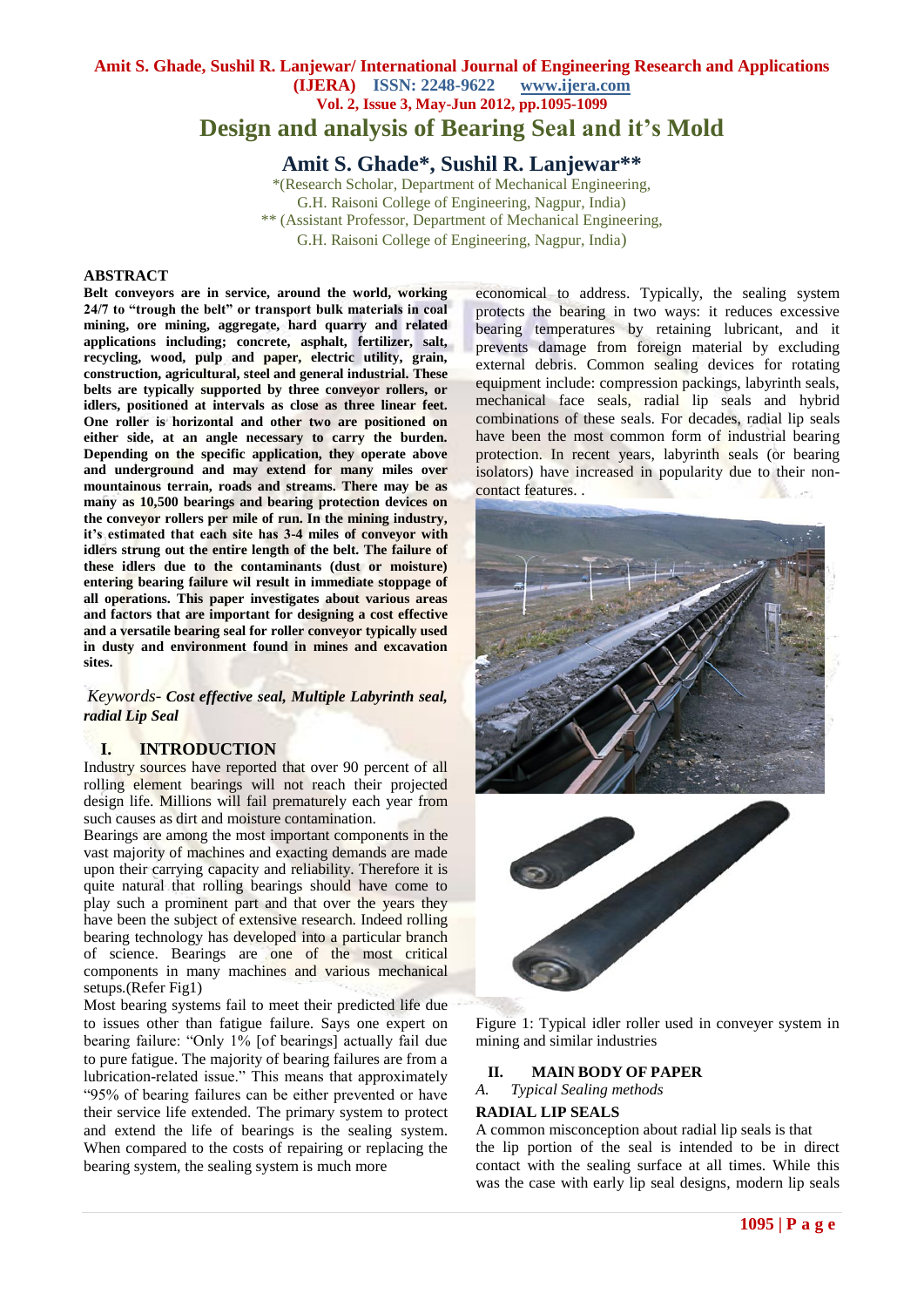# **Amit S. Ghade, Sushil R. Lanjewar/ International Journal of Engineering Research and Applications (IJERA) ISSN: 2248-9622 www.ijera.com Vol. 2, Issue 3, May-Jun 2012, pp.1095-1099 Design and analysis of Bearing Seal and it's Mold**

**Amit S. Ghade\*, Sushil R. Lanjewar\*\***

\*(Research Scholar, Department of Mechanical Engineering, G.H. Raisoni College of Engineering, Nagpur, India) \*\* (Assistant Professor, Department of Mechanical Engineering, G.H. Raisoni College of Engineering, Nagpur, India)

#### **ABSTRACT**

**Belt conveyors are in service, around the world, working 24/7 to "trough the belt" or transport bulk materials in coal mining, ore mining, aggregate, hard quarry and related applications including; concrete, asphalt, fertilizer, salt, recycling, wood, pulp and paper, electric utility, grain, construction, agricultural, steel and general industrial. These belts are typically supported by three conveyor rollers, or idlers, positioned at intervals as close as three linear feet. One roller is horizontal and other two are positioned on either side, at an angle necessary to carry the burden. Depending on the specific application, they operate above and underground and may extend for many miles over mountainous terrain, roads and streams. There may be as many as 10,500 bearings and bearing protection devices on the conveyor rollers per mile of run. In the mining industry, it's estimated that each site has 3-4 miles of conveyor with idlers strung out the entire length of the belt. The failure of these idlers due to the contaminants (dust or moisture) entering bearing failure wil result in immediate stoppage of all operations. This paper investigates about various areas and factors that are important for designing a cost effective and a versatile bearing seal for roller conveyor typically used in dusty and environment found in mines and excavation sites.**

*Keywords- Cost effective seal, Multiple Labyrinth seal, radial Lip Seal*

### **I. INTRODUCTION**

Industry sources have reported that over 90 percent of all rolling element bearings will not reach their projected design life. Millions will fail prematurely each year from such causes as dirt and moisture contamination.

Bearings are among the most important components in the vast majority of machines and exacting demands are made upon their carrying capacity and reliability. Therefore it is quite natural that rolling bearings should have come to play such a prominent part and that over the years they have been the subject of extensive research. Indeed rolling bearing technology has developed into a particular branch of science. Bearings are one of the most critical components in many machines and various mechanical setups.(Refer Fig1)

Most bearing systems fail to meet their predicted life due to issues other than fatigue failure. Says one expert on bearing failure: "Only 1% [of bearings] actually fail due to pure fatigue. The majority of bearing failures are from a lubrication-related issue." This means that approximately "95% of bearing failures can be either prevented or have their service life extended. The primary system to protect and extend the life of bearings is the sealing system. When compared to the costs of repairing or replacing the bearing system, the sealing system is much more

economical to address. Typically, the sealing system protects the bearing in two ways: it reduces excessive bearing temperatures by retaining lubricant, and it prevents damage from foreign material by excluding external debris. Common sealing devices for rotating equipment include: compression packings, labyrinth seals, mechanical face seals, radial lip seals and hybrid combinations of these seals. For decades, radial lip seals have been the most common form of industrial bearing protection. In recent years, labyrinth seals (or bearing isolators) have increased in popularity due to their noncontact features. .





Figure 1: Typical idler roller used in conveyer system in mining and similar industries

#### **II. MAIN BODY OF PAPER**

*A. Typical Sealing methods*

#### **RADIAL LIP SEALS**

A common misconception about radial lip seals is that the lip portion of the seal is intended to be in direct contact with the sealing surface at all times. While this was the case with early lip seal designs, modern lip seals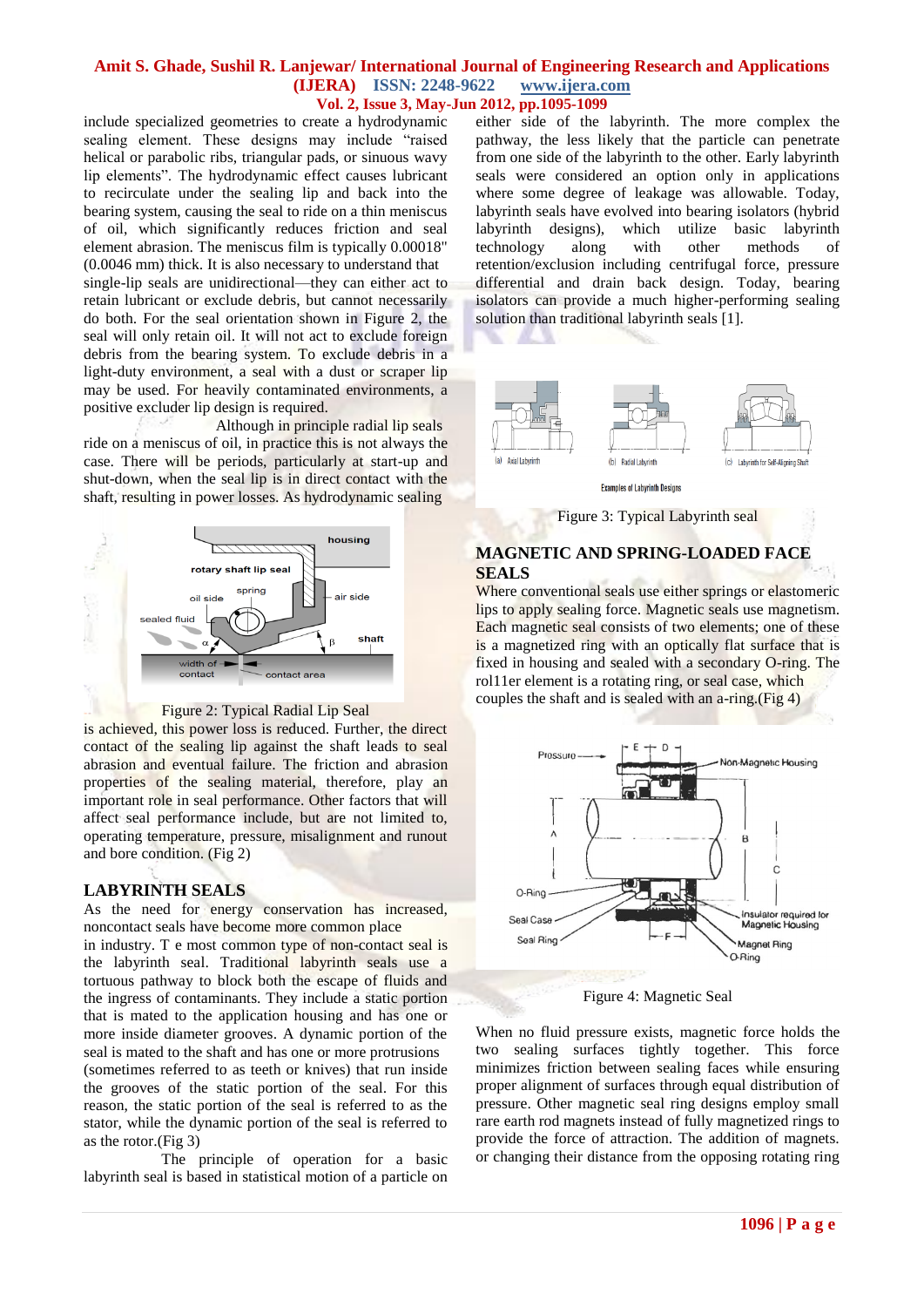include specialized geometries to create a hydrodynamic sealing element. These designs may include "raised helical or parabolic ribs, triangular pads, or sinuous wavy lip elements". The hydrodynamic effect causes lubricant to recirculate under the sealing lip and back into the bearing system, causing the seal to ride on a thin meniscus of oil, which significantly reduces friction and seal element abrasion. The meniscus film is typically 0.00018" (0.0046 mm) thick. It is also necessary to understand that single-lip seals are unidirectional—they can either act to retain lubricant or exclude debris, but cannot necessarily do both. For the seal orientation shown in Figure 2, the seal will only retain oil. It will not act to exclude foreign debris from the bearing system. To exclude debris in a light-duty environment, a seal with a dust or scraper lip may be used. For heavily contaminated environments, a positive excluder lip design is required.

 Although in principle radial lip seals ride on a meniscus of oil, in practice this is not always the case. There will be periods, particularly at start-up and shut-down, when the seal lip is in direct contact with the shaft, resulting in power losses. As hydrodynamic sealing



Figure 2: Typical Radial Lip Seal

is achieved, this power loss is reduced. Further, the direct contact of the sealing lip against the shaft leads to seal abrasion and eventual failure. The friction and abrasion properties of the sealing material, therefore, play an important role in seal performance. Other factors that will affect seal performance include, but are not limited to, operating temperature, pressure, misalignment and runout and bore condition. (Fig 2)

### **LABYRINTH SEALS**

As the need for energy conservation has increased, noncontact seals have become more common place

in industry. T e most common type of non-contact seal is the labyrinth seal. Traditional labyrinth seals use a tortuous pathway to block both the escape of fluids and the ingress of contaminants. They include a static portion that is mated to the application housing and has one or more inside diameter grooves. A dynamic portion of the seal is mated to the shaft and has one or more protrusions (sometimes referred to as teeth or knives) that run inside the grooves of the static portion of the seal. For this reason, the static portion of the seal is referred to as the stator, while the dynamic portion of the seal is referred to as the rotor.(Fig 3)

 The principle of operation for a basic labyrinth seal is based in statistical motion of a particle on

either side of the labyrinth. The more complex the pathway, the less likely that the particle can penetrate from one side of the labyrinth to the other. Early labyrinth seals were considered an option only in applications where some degree of leakage was allowable. Today, labyrinth seals have evolved into bearing isolators (hybrid labyrinth designs), which utilize basic labyrinth technology along with other methods of retention/exclusion including centrifugal force, pressure differential and drain back design. Today, bearing isolators can provide a much higher-performing sealing solution than traditional labyrinth seals [1].



Figure 3: Typical Labyrinth seal

# **MAGNETIC AND SPRING-LOADED FACE SEALS**

Where conventional seals use either springs or elastomeric lips to apply sealing force. Magnetic seals use magnetism. Each magnetic seal consists of two elements; one of these is a magnetized ring with an optically flat surface that is fixed in housing and sealed with a secondary O-ring. The rol11er element is a rotating ring, or seal case, which couples the shaft and is sealed with an a-ring.(Fig 4)



Figure 4: Magnetic Seal

When no fluid pressure exists, magnetic force holds the two sealing surfaces tightly together. This force minimizes friction between sealing faces while ensuring proper alignment of surfaces through equal distribution of pressure. Other magnetic seal ring designs employ small rare earth rod magnets instead of fully magnetized rings to provide the force of attraction. The addition of magnets. or changing their distance from the opposing rotating ring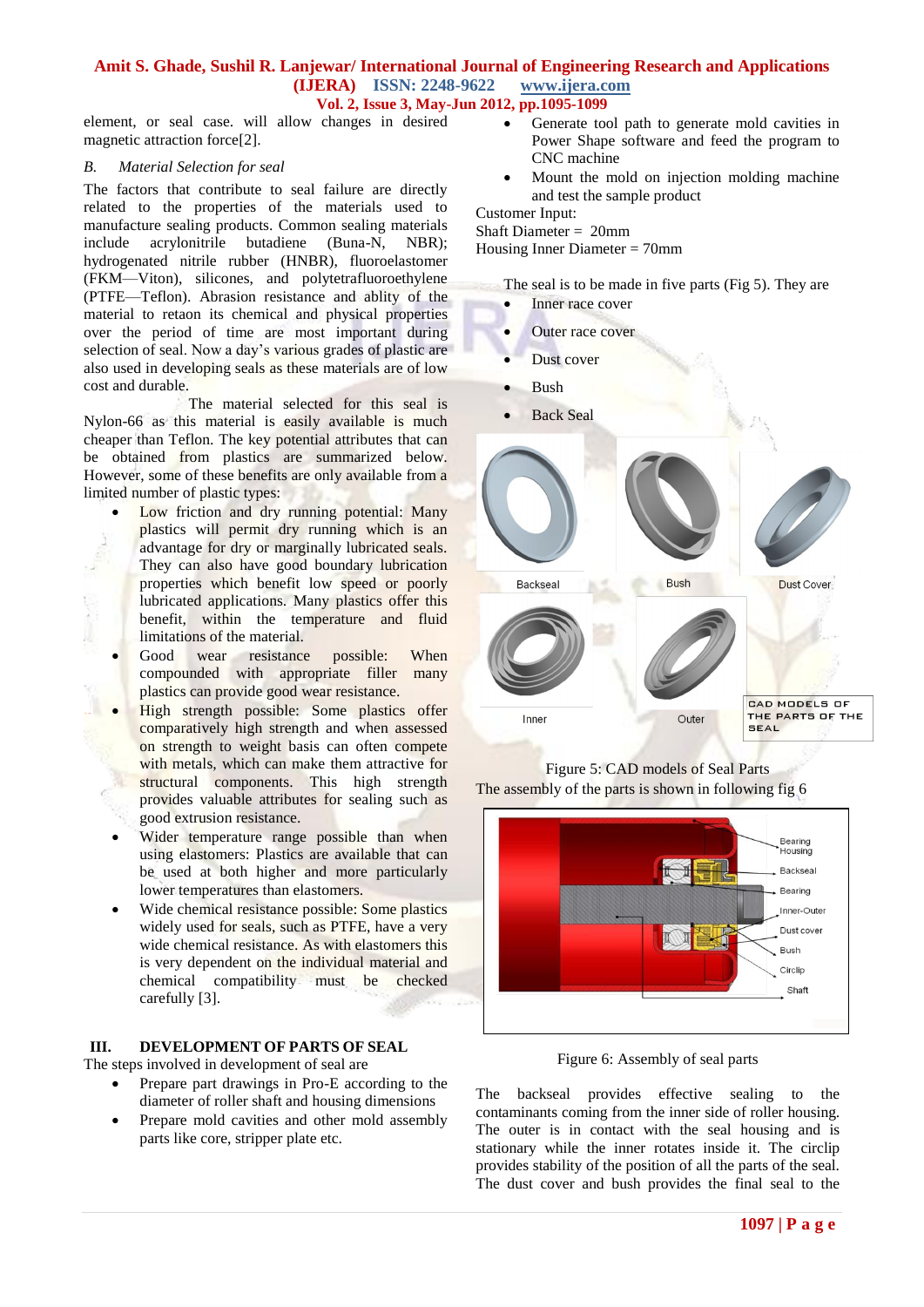element, or seal case. will allow changes in desired magnetic attraction force[2].

#### *B. Material Selection for seal*

The factors that contribute to seal failure are directly related to the properties of the materials used to manufacture sealing products. Common sealing materials include acrylonitrile butadiene (Buna-N, NBR); hydrogenated nitrile rubber (HNBR), fluoroelastomer (FKM—Viton), silicones, and polytetrafluoroethylene (PTFE—Teflon). Abrasion resistance and ablity of the material to retaon its chemical and physical properties over the period of time are most important during selection of seal. Now a day's various grades of plastic are also used in developing seals as these materials are of low cost and durable.

 The material selected for this seal is Nylon-66 as this material is easily available is much cheaper than Teflon. The key potential attributes that can be obtained from plastics are summarized below. However, some of these benefits are only available from a limited number of plastic types:

- Low friction and dry running potential: Many plastics will permit dry running which is an advantage for dry or marginally lubricated seals. They can also have good boundary lubrication properties which benefit low speed or poorly lubricated applications. Many plastics offer this benefit, within the temperature and fluid limitations of the material.
- Good wear resistance possible: When compounded with appropriate filler many plastics can provide good wear resistance.
- High strength possible: Some plastics offer comparatively high strength and when assessed on strength to weight basis can often compete with metals, which can make them attractive for structural components. This high strength provides valuable attributes for sealing such as good extrusion resistance.
- Wider temperature range possible than when using elastomers: Plastics are available that can be used at both higher and more particularly lower temperatures than elastomers.
- Wide chemical resistance possible: Some plastics widely used for seals, such as PTFE, have a very wide chemical resistance. As with elastomers this is very dependent on the individual material and chemical compatibility must be checked carefully [3].

#### **III. DEVELOPMENT OF PARTS OF SEAL**

The steps involved in development of seal are

- Prepare part drawings in Pro-E according to the diameter of roller shaft and housing dimensions
- Prepare mold cavities and other mold assembly parts like core, stripper plate etc.
- Generate tool path to generate mold cavities in Power Shape software and feed the program to CNC machine
- Mount the mold on injection molding machine and test the sample product

Customer Input: Shaft Diameter = 20mm Housing Inner Diameter = 70mm

The seal is to be made in five parts (Fig 5). They are

- Inner race cover
- Outer race cover
- Dust cover
- Bush
- Back Seal



Figure 5: CAD models of Seal Parts The assembly of the parts is shown in following fig 6



Figure 6: Assembly of seal parts

The backseal provides effective sealing to the contaminants coming from the inner side of roller housing. The outer is in contact with the seal housing and is stationary while the inner rotates inside it. The circlip provides stability of the position of all the parts of the seal. The dust cover and bush provides the final seal to the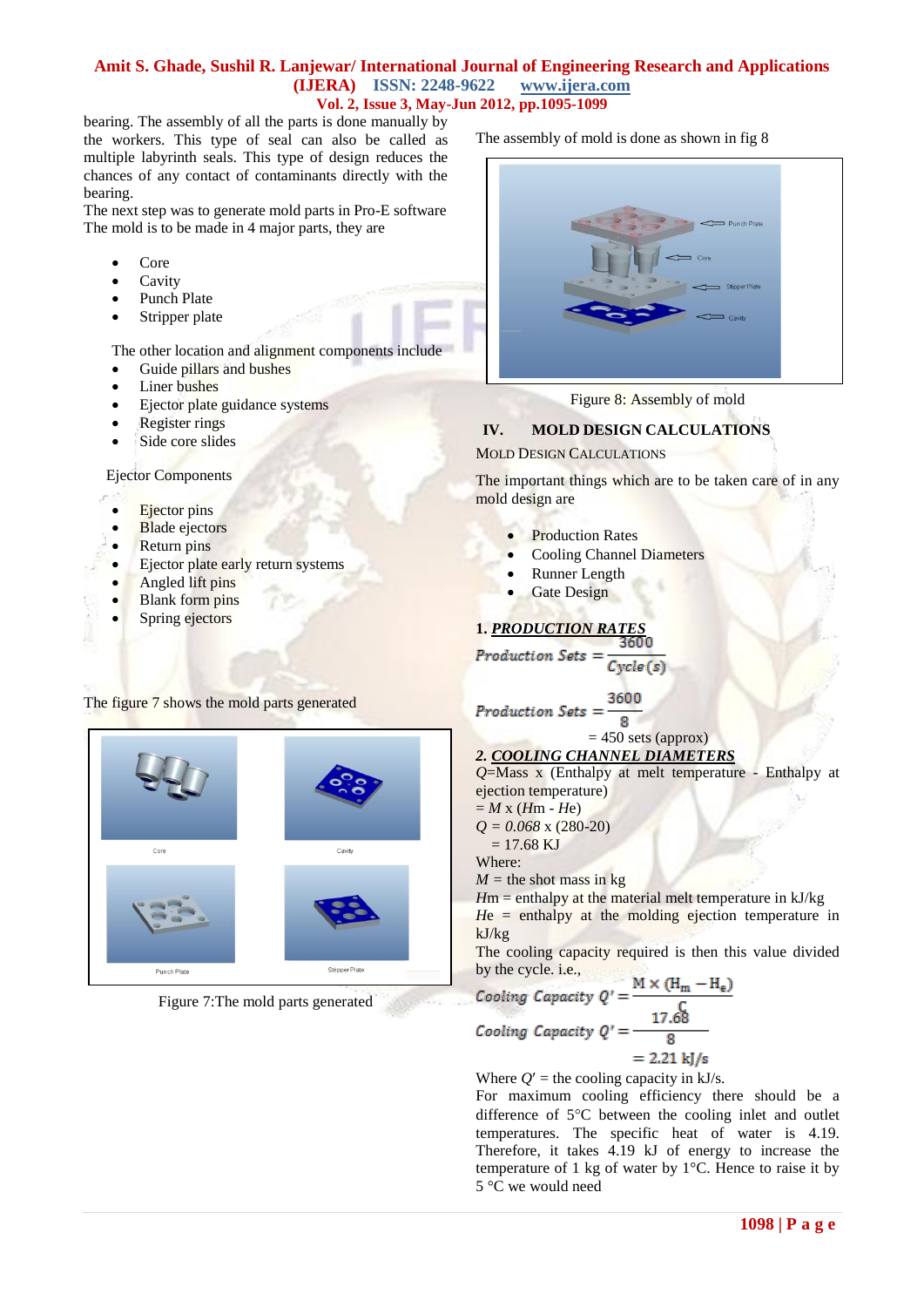bearing. The assembly of all the parts is done manually by the workers. This type of seal can also be called as multiple labyrinth seals. This type of design reduces the chances of any contact of contaminants directly with the bearing.

The next step was to generate mold parts in Pro-E software The mold is to be made in 4 major parts, they are

- Core
- Cavity
- Punch Plate
- Stripper plate

The other location and alignment components include

- Guide pillars and bushes
- Liner bushes
- Ejector plate guidance systems
- Register rings
- Side core slides

Ejector Components

- Ejector pins
- Blade ejectors
- Return pins
- Ejector plate early return systems
- Angled lift pins
- Blank form pins
- Spring ejectors

### The figure 7 shows the mold parts generated



Figure 7:The mold parts generated

The assembly of mold is done as shown in fig 8



Figure 8: Assembly of mold

# **IV. MOLD DESIGN CALCULATIONS**

MOLD DESIGN CALCULATIONS

The important things which are to be taken care of in any mold design are

- Production Rates
- Cooling Channel Diameters
- Runner Length
- Gate Design

# **1.** *PRODUCTION RATES*

$$
Production\ Sets = \frac{1}{Cycle(s)}
$$

3600

Production Sets

$$
= 450 \text{ sets (approx)}
$$

*2. COOLING CHANNEL DIAMETERS*

*Q*=Mass x (Enthalpy at melt temperature - Enthalpy at ejection temperature)

 $=$  *M* x (*H*m - *H*e)

*Q = 0.068* x (280-20)  $= 17.68$  KJ

Where:

 $M =$  the shot mass in kg

*H*m = enthalpy at the material melt temperature in kJ/kg  $He =$  enthalpy at the molding ejection temperature in

kJ/kg

The cooling capacity required is then this value divided by the cycle. i.e.,  $M \vee U$  $\cdots$ 

Cooling Capacity 
$$
Q' = \frac{M \times (n_m - n_e)}{C}
$$

\nCooling Capacity  $Q' = \frac{17.68}{8} = 2.21 \text{ k/s}$ 

Where  $Q'$  = the cooling capacity in kJ/s.

For maximum cooling efficiency there should be a difference of  $5^{\circ}$ C between the cooling inlet and outlet temperatures. The specific heat of water is 4.19. Therefore, it takes 4.19 kJ of energy to increase the temperature of 1 kg of water by 1°C. Hence to raise it by 5 °C we would need